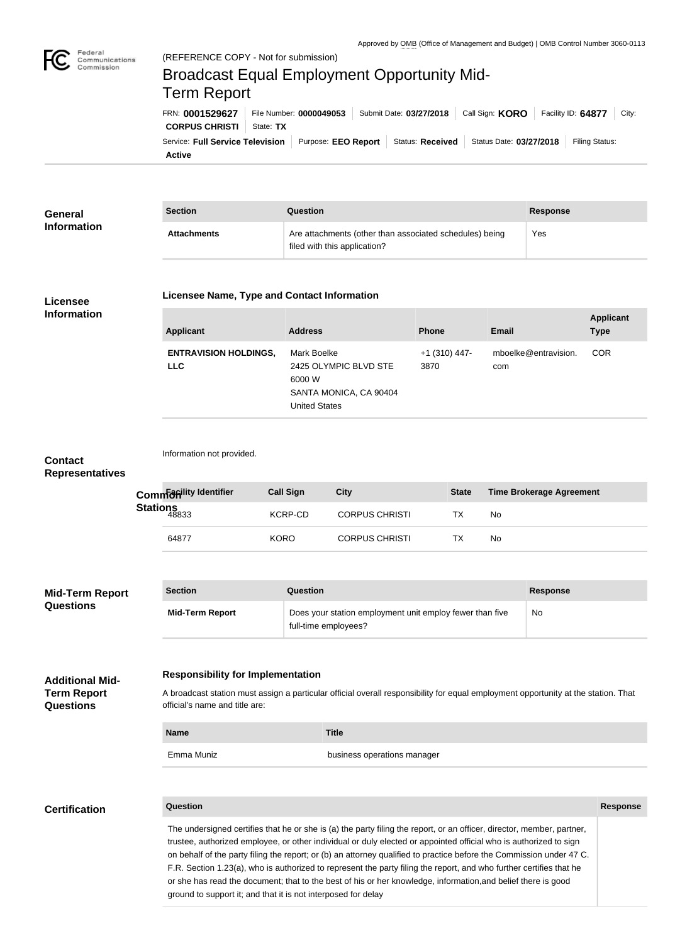

Federal

# Communications Commission Broadcast Equal Employment Opportunity Mid-Term ReportFRN: **0001529627** File Number: **0000049053** Submit Date: **03/27/2018** Call Sign: **KORO** Facility ID: **64877** City: **CORPUS CHRISTI** | State: TX Service: Full Service Television | Purpose: EEO Report | Status: Received | Status Date: 03/27/2018 | Filing Status:

**Active**

| General<br><b>Information</b> | <b>Section</b>     | Question                                                                                | <b>Response</b> |
|-------------------------------|--------------------|-----------------------------------------------------------------------------------------|-----------------|
|                               | <b>Attachments</b> | Are attachments (other than associated schedules) being<br>filed with this application? | Yes             |

### **Licensee Information**

#### **Licensee Name, Type and Contact Information**

| <b>Applicant</b>                           | <b>Address</b>                                                                                   | <b>Phone</b>            | <b>Email</b>                | <b>Applicant</b><br><b>Type</b> |
|--------------------------------------------|--------------------------------------------------------------------------------------------------|-------------------------|-----------------------------|---------------------------------|
| <b>ENTRAVISION HOLDINGS,</b><br><b>LLC</b> | Mark Boelke<br>2425 OLYMPIC BLVD STE<br>6000 W<br>SANTA MONICA, CA 90404<br><b>United States</b> | $+1$ (310) 447-<br>3870 | mboelke@entravision.<br>com | <b>COR</b>                      |

#### **Contact Representatives**

| Commanility Identifier | <b>Call Sign</b> | City                  | <b>State</b> | Time Brokerage Agreement |
|------------------------|------------------|-----------------------|--------------|--------------------------|
| Stations<br>48833      | KCRP-CD          | <b>CORPUS CHRISTI</b> | тх           | No                       |
| 64877                  | <b>KORO</b>      | <b>CORPUS CHRISTI</b> | ТX           | No                       |
|                        |                  |                       |              |                          |

| <b>Mid-Term Report</b><br><b>Questions</b> | <b>Section</b>         | Question                                                                         | Response |
|--------------------------------------------|------------------------|----------------------------------------------------------------------------------|----------|
|                                            | <b>Mid-Term Report</b> | Does your station employment unit employ fewer than five<br>full-time employees? | No       |

#### **Responsibility for Implementation Additional Mid-**

Information not provided.

A broadcast station must assign a particular official overall responsibility for equal employment opportunity at the station. That official's name and title are:

| <b>Name</b> | <b>Title</b>                |
|-------------|-----------------------------|
| Emma Muniz  | business operations manager |

| <b>Certification</b> |
|----------------------|
|----------------------|

**Term Report Questions**

# **Question Response**

The undersigned certifies that he or she is (a) the party filing the report, or an officer, director, member, partner, trustee, authorized employee, or other individual or duly elected or appointed official who is authorized to sign on behalf of the party filing the report; or (b) an attorney qualified to practice before the Commission under 47 C. F.R. Section 1.23(a), who is authorized to represent the party filing the report, and who further certifies that he or she has read the document; that to the best of his or her knowledge, information,and belief there is good ground to support it; and that it is not interposed for delay